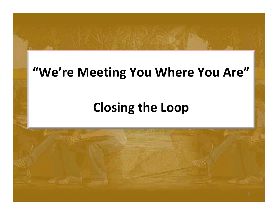### **"We're Meeting You Where You Are"**

# **Closing the Loop**

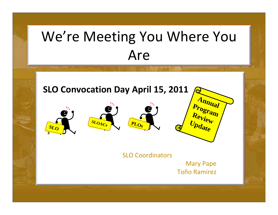# We're Meeting You Where You Are

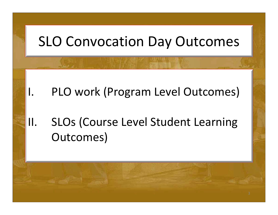

- I. PLO work (Program Level Outcomes)
- II. SLOs (Course Level Student Learning Outcomes)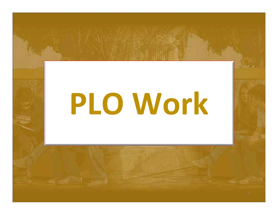# **PLO Work**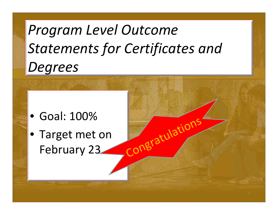# *Program Level Outcome Statements for Certificates and Degrees*

congratulation

- Goal: 100%
- Target met on February 23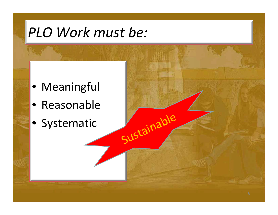# *PLO Work must be:*

Sustainable

- Meaningful
- Reasonable
- Systematic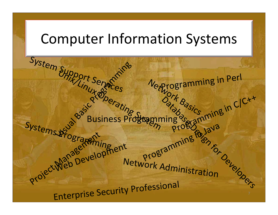### Computer Information Systems

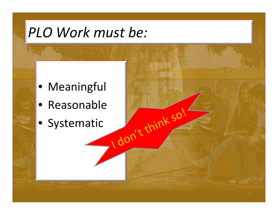# *PLO Work must be:*

- Meaningful
- Reasonable
- Systematic

I don

It think so!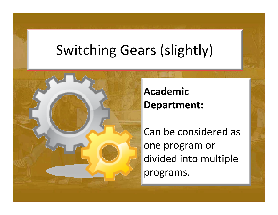# Switching Gears (slightly)



#### **AcademicDepartment:**

Can be considered as one program or divided into multiple programs.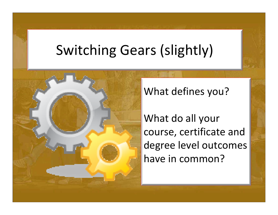# Switching Gears (slightly)



What defines you?

What do all your course, certificate and degree level outcomes have in common?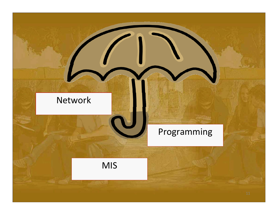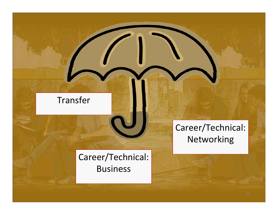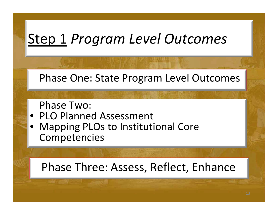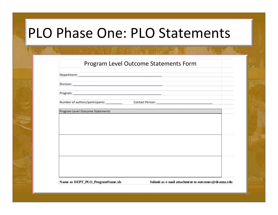## PLO Phase One: PLO Statements

Department:

Division:

Program:

Number of authors/participants: \_\_\_\_\_\_\_\_\_\_ Contact Person: \_\_\_\_\_\_\_\_\_\_\_\_\_\_\_\_\_\_\_\_\_\_\_\_\_\_\_\_\_\_\_\_\_\_\_

Program Level Outcome Statements

Name as DEPT\_PLO\_ProgramName.xls Submit as e-mail attachment to outcomes@deanza.edu

14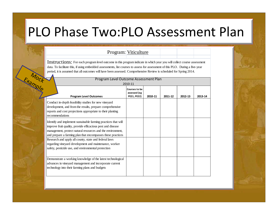#### PLO Phase Two:PLO Assessment Plan

#### Program: Viticulture

Instructions: For each program level outcome in this program indicate in which year you will collect course assessment data. To facilitate this, if using embedded assessments, list courses to assess for assessment of this PLO. During a five-year period, it is assumed that all outcomes will have been assessed. Comprehensive Review is scheduled for Spring 2014.

| Mock                                                                                                                                                                                                                                                       | Program Level Outcome Assessment Plan<br>2010-11 |         |         |         |         |
|------------------------------------------------------------------------------------------------------------------------------------------------------------------------------------------------------------------------------------------------------------|--------------------------------------------------|---------|---------|---------|---------|
| <b>Program Level Outcomes</b>                                                                                                                                                                                                                              | Courses to be<br>assessed (eg<br>PE21, PE22)     | 2010-11 | 2011-12 | 2012-13 | 2013-14 |
| Conduct in-depth feasibility studies for new vineyard<br>development, and from the results, prepare comprehensive<br>reports and cost projections appropriate to their planting<br>recommendations                                                         |                                                  |         |         |         |         |
| Identify and implement sustainable farming practices that will<br>improve fruit quality, provide efficacious pest and disease<br>management, protect natural resources and the environment,<br>and prepare a farming plan that encompasses these practices |                                                  |         |         |         |         |
| Research and apply all county, state and federal laws<br>regarding vineyard development and maintenance, worker<br>safety, pesticide use, and environmental protection                                                                                     |                                                  |         |         |         |         |
| Demonstrate a working knowledge of the latest technological<br>advances in vineyard management and incorporate current<br>technology into their farming plans and budgets                                                                                  |                                                  |         |         |         |         |

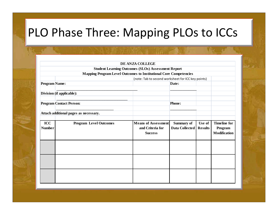#### PLO Phase Three: Mapping PLOs to ICCs

|                      |                                                                          | DE ANZA COLLEGE                                                  |                                     |                          |                                                |
|----------------------|--------------------------------------------------------------------------|------------------------------------------------------------------|-------------------------------------|--------------------------|------------------------------------------------|
|                      |                                                                          | <b>Student Learning Outcomes (SLOs) Assessment Report</b>        |                                     |                          |                                                |
|                      | <b>Mapping Program Level Outcomes to Institutional Core Competencies</b> |                                                                  |                                     |                          |                                                |
|                      | (note: Tab to second worksheet for ICC key points)                       |                                                                  |                                     |                          |                                                |
| <b>Program Name:</b> |                                                                          |                                                                  | Date:                               |                          |                                                |
|                      | Division (if applicable):                                                |                                                                  |                                     |                          |                                                |
|                      | <b>Program Contact Person:</b>                                           |                                                                  | <b>Phone:</b>                       |                          |                                                |
|                      | Attach additional pages as necessary.                                    |                                                                  |                                     |                          |                                                |
| ICC<br><b>Number</b> | <b>Program Level Outcomes</b>                                            | <b>Means of Assessment</b><br>and Criteria for<br><b>Success</b> | Summary of<br><b>Data Collected</b> | Use of<br><b>Results</b> | <b>Timeline for</b><br>Program<br>Modification |
|                      |                                                                          |                                                                  |                                     |                          |                                                |
|                      |                                                                          |                                                                  |                                     |                          |                                                |
|                      |                                                                          |                                                                  |                                     |                          |                                                |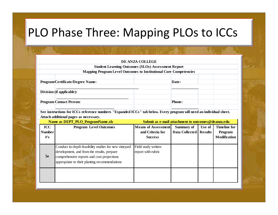#### PLO Phase Three: Mapping PLOs to ICCs

#### **DE ANZA COLLEGE**

**Student Learning Outcomes (SLOs) Assessment Report Mapping Program Level Outcomes to Institutional Core Competencies**

Program/Certificate/Degree Name: **Date: Date: Date: Date: Date: Date: Date: Date: Date: Date: Date: Date: Date: Date: Date: Date: Date: Date: Date: Date: Date: Date: Date: Date** 

| Division (if applicable): |  |  |
|---------------------------|--|--|
|                           |  |  |

**Program Contact Person:** Phone: **Phone: Phone: Phone: Phone: Phone: Phone: Phone: Phone: Phone: Phone: Phone: Phone: Phone: Phone: Phone: Phone: Phone: Phone: Phone: Phone: Phone:**

**See instructions for ICCs reference numbers "Expanded ICCs" tab below. Every program will need an individual sheet. Attach additional pages as necessary.**

\_\_\_\_\_\_\_\_\_\_\_\_\_\_\_\_\_\_\_\_\_\_\_\_\_\_\_\_\_\_\_\_\_\_\_\_\_\_\_\_\_\_\_\_\_\_\_\_\_ \_\_\_\_\_\_\_\_\_\_\_\_\_\_\_\_

\_\_\_\_\_\_\_\_\_\_\_\_\_\_\_\_\_\_\_\_\_\_\_\_\_\_\_\_\_\_\_\_\_\_\_ \_\_\_\_\_\_\_\_\_\_\_\_\_\_\_\_

|               | Name as DEPT_PLO_ProgramName.xls                                                                                                                                                                   |                                           | Submit as e-mail attachment to outcomes@deanza.edu |                |                     |  |
|---------------|----------------------------------------------------------------------------------------------------------------------------------------------------------------------------------------------------|-------------------------------------------|----------------------------------------------------|----------------|---------------------|--|
| ICC           | <b>Program Level Outcomes</b>                                                                                                                                                                      | <b>Means of Assessment</b>                | <b>Summary of</b>                                  | Use of         | <b>Timeline for</b> |  |
| <b>Number</b> |                                                                                                                                                                                                    | and Criteria for                          | Data Collected                                     | <b>Results</b> | Program             |  |
| $H$ 's        |                                                                                                                                                                                                    | <b>Success</b>                            |                                                    |                | Modification        |  |
|               |                                                                                                                                                                                                    |                                           |                                                    |                |                     |  |
| 5e            | Conduct in-depth feasibility studies for new vineyard<br>development, and from the results, prepare<br>comprehensive reports and cost projections<br>appropriate to their planting recommendations | Field study written<br>report with rubric |                                                    |                |                     |  |
|               |                                                                                                                                                                                                    |                                           |                                                    |                |                     |  |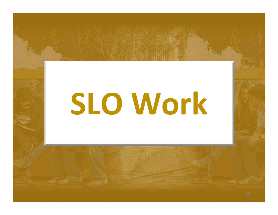# **SLO Work**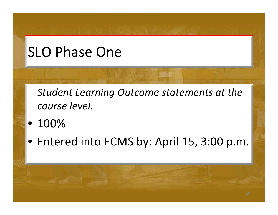# SLO Phase One

*Student Learning Outcome statements at the course level.*

- 100%
- Entered into ECMS by: April 15, 3:00 p.m.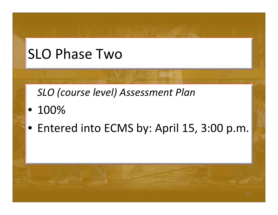# SLO Phase Two

*SLO (course level) Assessment Plan*

- 100%
- Entered into ECMS by: April 15, 3:00 p.m.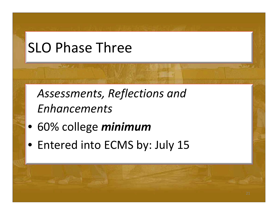# SLO Phase Three

*Assessments, Reflections and Enhancements*

- 60% college *minimum*
- Entered into ECMS by: July 15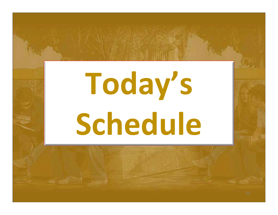# **Today's Schedule**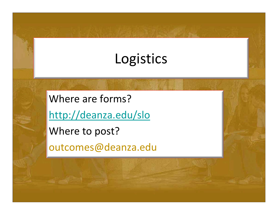# Logistics

Where are forms? http://deanza.edu/slo Where to post? outcomes@deanza.edu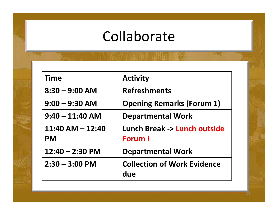## Collaborate

| <b>Time</b>                       | <b>Activity</b>                                          |
|-----------------------------------|----------------------------------------------------------|
| $8:30 - 9:00$ AM                  | <b>Refreshments</b>                                      |
| $9:00 - 9:30$ AM                  | <b>Opening Remarks (Forum 1)</b>                         |
| $9:40 - 11:40$ AM                 | <b>Departmental Work</b>                                 |
| $11:40$ AM $- 12:40$<br><b>PM</b> | <b>Lunch Break -&gt; Lunch outside</b><br><b>Forum I</b> |
| $12:40 - 2:30$ PM                 | <b>Departmental Work</b>                                 |
| $2:30 - 3:00$ PM                  | <b>Collection of Work Evidence</b><br>due                |

a.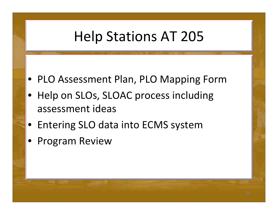# Help Stations AT 205

- PLO Assessment Plan, PLO Mapping Form
- Help on SLOs, SLOAC process including assessment ideas
- Entering SLO data into ECMS system
- $\bullet$ Program Review